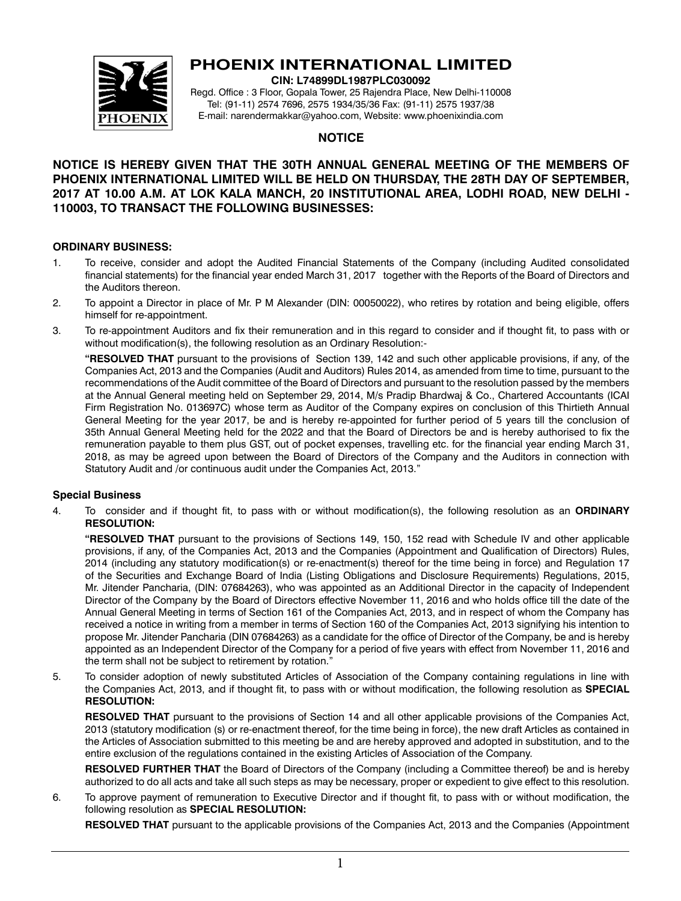

# **PHOENIX INTERNATIONAL LIMITED**

**CIN: L74899DL1987PLC030092**

Regd. Office : 3 Floor, Gopala Tower, 25 Rajendra Place, New Delhi-110008 Tel: (91-11) 2574 7696, 2575 1934/35/36 Fax: (91-11) 2575 1937/38 E-mail: narendermakkar@yahoo.com, Website: www.phoenixindia.com

## **NOTICE**

# **NOTICE IS HEREBY GIVEN THAT THE 30TH ANNUAL GENERAL MEETING OF THE MEMBERS OF PHOENIX INTERNATIONAL LIMITED WILL BE HELD ON THURSDAY, THE 28TH DAY OF SEPTEMBER, 2017 AT 10.00 A.M. AT LOK KALA MANCH, 20 INSTITUTIONAL AREA, LODHI ROAD, NEW DELHI - 110003, TO TRANSACT THE FOLLOWING BUSINESSES:**

### **ORDINARY BUSINESS:**

- 1. To receive, consider and adopt the Audited Financial Statements of the Company (including Audited consolidated financial statements) for the financial year ended March 31, 2017 together with the Reports of the Board of Directors and the Auditors thereon.
- 2. To appoint a Director in place of Mr. P M Alexander (DIN: 00050022), who retires by rotation and being eligible, offers himself for re-appointment.
- 3. To re-appointment Auditors and fix their remuneration and in this regard to consider and if thought fit, to pass with or without modification(s), the following resolution as an Ordinary Resolution:-

**"RESOLVED THAT** pursuant to the provisions of Section 139, 142 and such other applicable provisions, if any, of the Companies Act, 2013 and the Companies (Audit and Auditors) Rules 2014, as amended from time to time, pursuant to the recommendations of the Audit committee of the Board of Directors and pursuant to the resolution passed by the members at the Annual General meeting held on September 29, 2014, M/s Pradip Bhardwaj & Co., Chartered Accountants (ICAI Firm Registration No. 013697C) whose term as Auditor of the Company expires on conclusion of this Thirtieth Annual General Meeting for the year 2017, be and is hereby re-appointed for further period of 5 years till the conclusion of 35th Annual General Meeting held for the 2022 and that the Board of Directors be and is hereby authorised to fix the remuneration payable to them plus GST, out of pocket expenses, travelling etc. for the financial year ending March 31, 2018, as may be agreed upon between the Board of Directors of the Company and the Auditors in connection with Statutory Audit and /or continuous audit under the Companies Act, 2013."

### **Special Business**

4. To consider and if thought fit, to pass with or without modification(s), the following resolution as an **Ordinary Resolution:**

**"RESOLVED THAT** pursuant to the provisions of Sections 149, 150, 152 read with Schedule IV and other applicable provisions, if any, of the Companies Act, 2013 and the Companies (Appointment and Qualification of Directors) Rules, 2014 (including any statutory modification(s) or re-enactment(s) thereof for the time being in force) and Regulation 17 of the Securities and Exchange Board of India (Listing Obligations and Disclosure Requirements) Regulations, 2015, Mr. Jitender Pancharia, (DIN: 07684263), who was appointed as an Additional Director in the capacity of Independent Director of the Company by the Board of Directors effective November 11, 2016 and who holds office till the date of the Annual General Meeting in terms of Section 161 of the Companies Act, 2013, and in respect of whom the Company has received a notice in writing from a member in terms of Section 160 of the Companies Act, 2013 signifying his intention to propose Mr. Jitender Pancharia (DIN 07684263) as a candidate for the office of Director of the Company, be and is hereby appointed as an Independent Director of the Company for a period of five years with effect from November 11, 2016 and the term shall not be subject to retirement by rotation."

5. To consider adoption of newly substituted Articles of Association of the Company containing regulations in line with the Companies Act, 2013, and if thought fit, to pass with or without modification, the following resolution as **SPECIAL RESOLUTION:** 

**RESOLVED THAT** pursuant to the provisions of Section 14 and all other applicable provisions of the Companies Act, 2013 (statutory modification (s) or re-enactment thereof, for the time being in force), the new draft Articles as contained in the Articles of Association submitted to this meeting be and are hereby approved and adopted in substitution, and to the entire exclusion of the regulations contained in the existing Articles of Association of the Company.

**RESOLVED FURTHER THAT** the Board of Directors of the Company (including a Committee thereof) be and is hereby authorized to do all acts and take all such steps as may be necessary, proper or expedient to give effect to this resolution.

6. To approve payment of remuneration to Executive Director and if thought fit, to pass with or without modification, the following resolution as **SPECIAL RESOLUTION:** 

**RESOLVED THAT** pursuant to the applicable provisions of the Companies Act, 2013 and the Companies (Appointment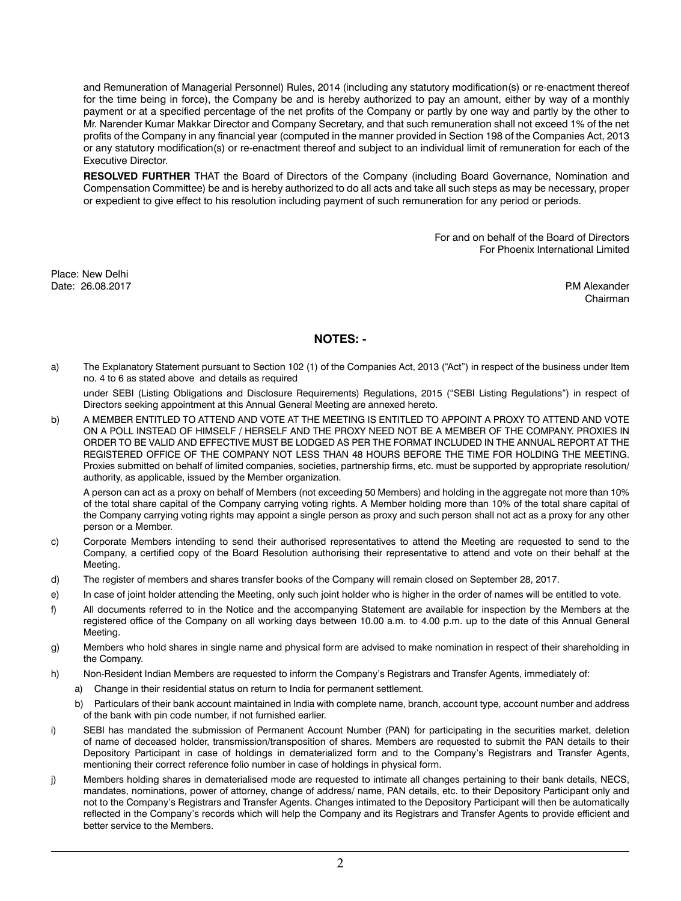and Remuneration of Managerial Personnel) Rules, 2014 (including any statutory modification(s) or re-enactment thereof for the time being in force), the Company be and is hereby authorized to pay an amount, either by way of a monthly payment or at a specified percentage of the net profits of the Company or partly by one way and partly by the other to Mr. Narender Kumar Makkar Director and Company Secretary, and that such remuneration shall not exceed 1% of the net profits of the Company in any financial year (computed in the manner provided in Section 198 of the Companies Act, 2013 or any statutory modification(s) or re-enactment thereof and subject to an individual limit of remuneration for each of the Executive Director.

**RESOLVED FURTHER** THAT the Board of Directors of the Company (including Board Governance, Nomination and Compensation Committee) be and is hereby authorized to do all acts and take all such steps as may be necessary, proper or expedient to give effect to his resolution including payment of such remuneration for any period or periods.

> For and on behalf of the Board of Directors For Phoenix International Limited

Place: New Delhi Date: 26.08.2017 P.M Alexander

Chairman

## **NOTES: -**

a) The Explanatory Statement pursuant to Section 102 (1) of the Companies Act, 2013 ("Act") in respect of the business under Item no. 4 to 6 as stated above and details as required

under SEBI (Listing Obligations and Disclosure Requirements) Regulations, 2015 ("SEBI Listing Regulations") in respect of Directors seeking appointment at this Annual General Meeting are annexed hereto.

b) A MEMBER ENTITLED TO ATTEND AND VOTE AT THE MEETING IS ENTITLED TO APPOINT A PROXY TO ATTEND AND VOTE ON A POLL INSTEAD OF HIMSELF / HERSELF AND THE PROXY NEED NOT BE A MEMBER OF THE COMPANY. PROXIES IN ORDER TO BE VALID AND EFFECTIVE MUST BE LODGED AS PER THE FORMAT INCLUDED IN THE ANNUAL REPORT AT THE REGISTERED OFFICE OF THE COMPANY NOT LESS THAN 48 HOURS BEFORE THE TIME FOR HOLDING THE MEETING. Proxies submitted on behalf of limited companies, societies, partnership firms, etc. must be supported by appropriate resolution/ authority, as applicable, issued by the Member organization.

A person can act as a proxy on behalf of Members (not exceeding 50 Members) and holding in the aggregate not more than 10% of the total share capital of the Company carrying voting rights. A Member holding more than 10% of the total share capital of the Company carrying voting rights may appoint a single person as proxy and such person shall not act as a proxy for any other person or a Member.

- c) Corporate Members intending to send their authorised representatives to attend the Meeting are requested to send to the Company, a certified copy of the Board Resolution authorising their representative to attend and vote on their behalf at the Meeting.
- d) The register of members and shares transfer books of the Company will remain closed on September 28, 2017.
- e) In case of joint holder attending the Meeting, only such joint holder who is higher in the order of names will be entitled to vote.
- f) All documents referred to in the Notice and the accompanying Statement are available for inspection by the Members at the registered office of the Company on all working days between 10.00 a.m. to 4.00 p.m. up to the date of this Annual General Meeting.
- g) Members who hold shares in single name and physical form are advised to make nomination in respect of their shareholding in the Company.
- h) Non-Resident Indian Members are requested to inform the Company's Registrars and Transfer Agents, immediately of:
	- a) Change in their residential status on return to India for permanent settlement.
	- b) Particulars of their bank account maintained in India with complete name, branch, account type, account number and address of the bank with pin code number, if not furnished earlier.
- i) SEBI has mandated the submission of Permanent Account Number (PAN) for participating in the securities market, deletion of name of deceased holder, transmission/transposition of shares. Members are requested to submit the PAN details to their Depository Participant in case of holdings in dematerialized form and to the Company's Registrars and Transfer Agents, mentioning their correct reference folio number in case of holdings in physical form.
- j) Members holding shares in dematerialised mode are requested to intimate all changes pertaining to their bank details, NECS, mandates, nominations, power of attorney, change of address/ name, PAN details, etc. to their Depository Participant only and not to the Company's Registrars and Transfer Agents. Changes intimated to the Depository Participant will then be automatically reflected in the Company's records which will help the Company and its Registrars and Transfer Agents to provide efficient and better service to the Members.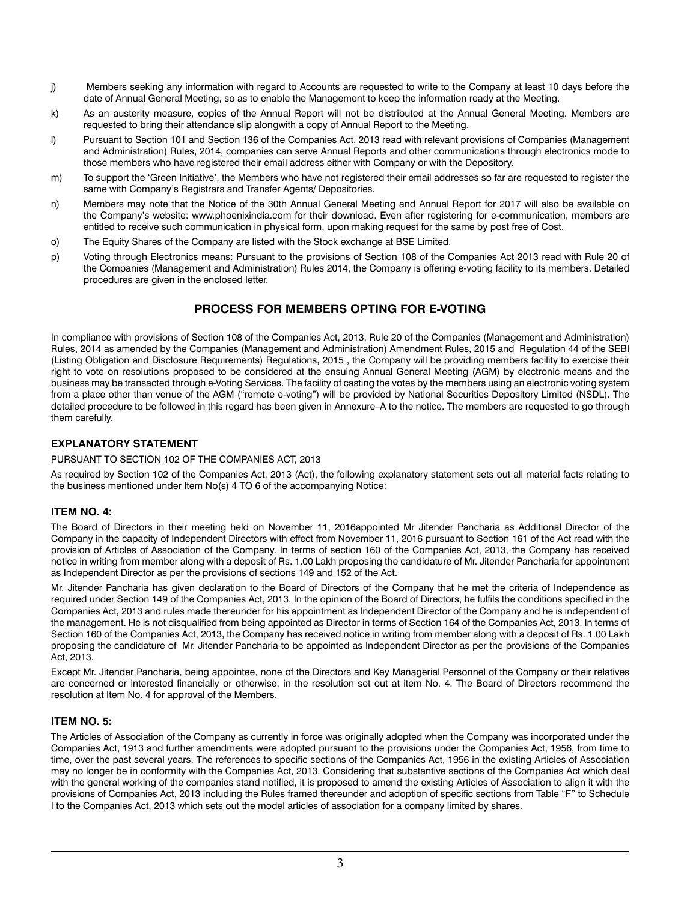- j) Members seeking any information with regard to Accounts are requested to write to the Company at least 10 days before the date of Annual General Meeting, so as to enable the Management to keep the information ready at the Meeting.
- k) As an austerity measure, copies of the Annual Report will not be distributed at the Annual General Meeting. Members are requested to bring their attendance slip alongwith a copy of Annual Report to the Meeting.
- l) Pursuant to Section 101 and Section 136 of the Companies Act, 2013 read with relevant provisions of Companies (Management and Administration) Rules, 2014, companies can serve Annual Reports and other communications through electronics mode to those members who have registered their email address either with Company or with the Depository.
- m) To support the 'Green Initiative', the Members who have not registered their email addresses so far are requested to register the same with Company's Registrars and Transfer Agents/ Depositories.
- n) Members may note that the Notice of the 30th Annual General Meeting and Annual Report for 2017 will also be available on the Company's website: www.phoenixindia.com for their download. Even after registering for e-communication, members are entitled to receive such communication in physical form, upon making request for the same by post free of Cost.
- o) The Equity Shares of the Company are listed with the Stock exchange at BSE Limited.
- p) Voting through Electronics means: Pursuant to the provisions of Section 108 of the Companies Act 2013 read with Rule 20 of the Companies (Management and Administration) Rules 2014, the Company is offering e-voting facility to its members. Detailed procedures are given in the enclosed letter.

# **PROCESS FOR MEMBERS OPTING FOR E-VOTING**

In compliance with provisions of Section 108 of the Companies Act, 2013, Rule 20 of the Companies (Management and Administration) Rules, 2014 as amended by the Companies (Management and Administration) Amendment Rules, 2015 and Regulation 44 of the SEBI (Listing Obligation and Disclosure Requirements) Regulations, 2015 , the Company will be providing members facility to exercise their right to vote on resolutions proposed to be considered at the ensuing Annual General Meeting (AGM) by electronic means and the business may be transacted through e-Voting Services. The facility of casting the votes by the members using an electronic voting system from a place other than venue of the AGM ("remote e-voting") will be provided by National Securities Depository Limited (NSDL). The detailed procedure to be followed in this regard has been given in Annexure–A to the notice. The members are requested to go through them carefully.

### **EXPLANATORY STATEMENT**

#### PURSUANT TO SECTION 102 OF THE COMPANIES ACT, 2013

As required by Section 102 of the Companies Act, 2013 (Act), the following explanatory statement sets out all material facts relating to the business mentioned under Item No(s) 4 TO 6 of the accompanying Notice:

### **ITEM NO. 4:**

The Board of Directors in their meeting held on November 11, 2016appointed Mr Jitender Pancharia as Additional Director of the Company in the capacity of Independent Directors with effect from November 11, 2016 pursuant to Section 161 of the Act read with the provision of Articles of Association of the Company. In terms of section 160 of the Companies Act, 2013, the Company has received notice in writing from member along with a deposit of Rs. 1.00 Lakh proposing the candidature of Mr. Jitender Pancharia for appointment as Independent Director as per the provisions of sections 149 and 152 of the Act.

Mr. Jitender Pancharia has given declaration to the Board of Directors of the Company that he met the criteria of Independence as required under Section 149 of the Companies Act, 2013. In the opinion of the Board of Directors, he fulfils the conditions specified in the Companies Act, 2013 and rules made thereunder for his appointment as Independent Director of the Company and he is independent of the management. He is not disqualified from being appointed as Director in terms of Section 164 of the Companies Act, 2013. In terms of Section 160 of the Companies Act, 2013, the Company has received notice in writing from member along with a deposit of Rs. 1.00 Lakh proposing the candidature of Mr. Jitender Pancharia to be appointed as Independent Director as per the provisions of the Companies Act, 2013.

Except Mr. Jitender Pancharia, being appointee, none of the Directors and Key Managerial Personnel of the Company or their relatives are concerned or interested financially or otherwise, in the resolution set out at item No. 4. The Board of Directors recommend the resolution at Item No. 4 for approval of the Members.

#### **ITEM NO. 5:**

The Articles of Association of the Company as currently in force was originally adopted when the Company was incorporated under the Companies Act, 1913 and further amendments were adopted pursuant to the provisions under the Companies Act, 1956, from time to time, over the past several years. The references to specific sections of the Companies Act, 1956 in the existing Articles of Association may no longer be in conformity with the Companies Act, 2013. Considering that substantive sections of the Companies Act which deal with the general working of the companies stand notified, it is proposed to amend the existing Articles of Association to align it with the provisions of Companies Act, 2013 including the Rules framed thereunder and adoption of specific sections from Table "F" to Schedule I to the Companies Act, 2013 which sets out the model articles of association for a company limited by shares.